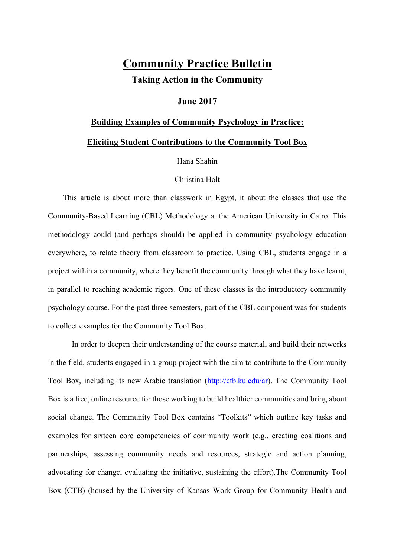# **Community Practice Bulletin**

**Taking Action in the Community**

## **June 2017**

## **Building Examples of Community Psychology in Practice:**

## **Eliciting Student Contributions to the Community Tool Box**

Hana Shahin

#### Christina Holt

 This article is about more than classwork in Egypt, it about the classes that use the Community-Based Learning (CBL) Methodology at the American University in Cairo. This methodology could (and perhaps should) be applied in community psychology education everywhere, to relate theory from classroom to practice. Using CBL, students engage in a project within a community, where they benefit the community through what they have learnt, in parallel to reaching academic rigors. One of these classes is the introductory community psychology course. For the past three semesters, part of the CBL component was for students to collect examples for the Community Tool Box.

In order to deepen their understanding of the course material, and build their networks in the field, students engaged in a group project with the aim to contribute to the Community Tool Box, including its new Arabic translation (http://ctb.ku.edu/ar). The Community Tool Box is a free, online resource for those working to build healthier communities and bring about social change. The Community Tool Box contains "Toolkits" which outline key tasks and examples for sixteen core competencies of community work (e.g., creating coalitions and partnerships, assessing community needs and resources, strategic and action planning, advocating for change, evaluating the initiative, sustaining the effort).The Community Tool Box (CTB) (housed by the University of Kansas Work Group for Community Health and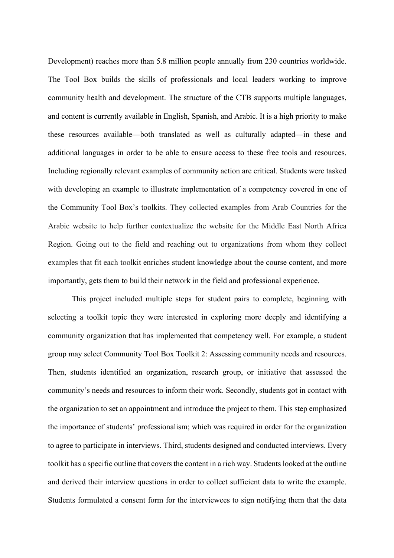Development) reaches more than 5.8 million people annually from 230 countries worldwide. The Tool Box builds the skills of professionals and local leaders working to improve community health and development. The structure of the CTB supports multiple languages, and content is currently available in English, Spanish, and Arabic. It is a high priority to make these resources available—both translated as well as culturally adapted—in these and additional languages in order to be able to ensure access to these free tools and resources. Including regionally relevant examples of community action are critical. Students were tasked with developing an example to illustrate implementation of a competency covered in one of the Community Tool Box's toolkits. They collected examples from Arab Countries for the Arabic website to help further contextualize the website for the Middle East North Africa Region. Going out to the field and reaching out to organizations from whom they collect examples that fit each toolkit enriches student knowledge about the course content, and more importantly, gets them to build their network in the field and professional experience.

This project included multiple steps for student pairs to complete, beginning with selecting a toolkit topic they were interested in exploring more deeply and identifying a community organization that has implemented that competency well. For example, a student group may select Community Tool Box Toolkit 2: Assessing community needs and resources. Then, students identified an organization, research group, or initiative that assessed the community's needs and resources to inform their work. Secondly, students got in contact with the organization to set an appointment and introduce the project to them. This step emphasized the importance of students' professionalism; which was required in order for the organization to agree to participate in interviews. Third, students designed and conducted interviews. Every toolkit has a specific outline that covers the content in a rich way. Students looked at the outline and derived their interview questions in order to collect sufficient data to write the example. Students formulated a consent form for the interviewees to sign notifying them that the data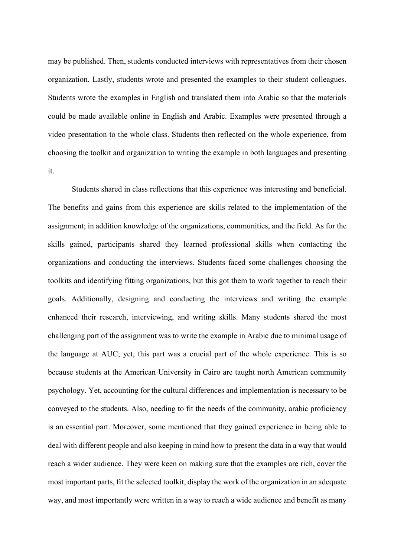may be published. Then, students conducted interviews with representatives from their chosen organization. Lastly, students wrote and presented the examples to their student colleagues. Students wrote the examples in English and translated them into Arabic so that the materials could be made available online in English and Arabic. Examples were presented through a video presentation to the whole class. Students then reflected on the whole experience, from choosing the toolkit and organization to writing the example in both languages and presenting it.

Students shared in class reflections that this experience was interesting and beneficial. The benefits and gains from this experience are skills related to the implementation of the assignment; in addition knowledge of the organizations, communities, and the field. As for the skills gained, participants shared they learned professional skills when contacting the organizations and conducting the interviews. Students faced some challenges choosing the toolkits and identifying fitting organizations, but this got them to work together to reach their goals. Additionally, designing and conducting the interviews and writing the example enhanced their research, interviewing, and writing skills. Many students shared the most challenging part of the assignment was to write the example in Arabic due to minimal usage of the language at AUC; yet, this part was a crucial part of the whole experience. This is so because students at the American University in Cairo are taught north American community psychology. Yet, accounting for the cultural differences and implementation is necessary to be conveyed to the students. Also, needing to fit the needs of the community, arabic proficiency is an essential part. Moreover, some mentioned that they gained experience in being able to deal with different people and also keeping in mind how to present the data in a way that would reach a wider audience. They were keen on making sure that the examples are rich, cover the most important parts, fit the selected toolkit, display the work of the organization in an adequate way, and most importantly were written in a way to reach a wide audience and benefit as many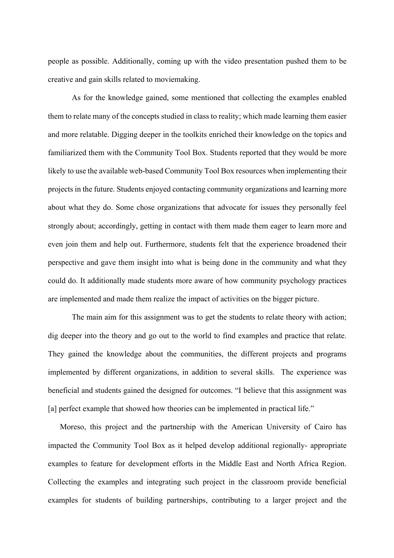people as possible. Additionally, coming up with the video presentation pushed them to be creative and gain skills related to moviemaking.

As for the knowledge gained, some mentioned that collecting the examples enabled them to relate many of the concepts studied in class to reality; which made learning them easier and more relatable. Digging deeper in the toolkits enriched their knowledge on the topics and familiarized them with the Community Tool Box. Students reported that they would be more likely to use the available web-based Community Tool Box resources when implementing their projects in the future. Students enjoyed contacting community organizations and learning more about what they do. Some chose organizations that advocate for issues they personally feel strongly about; accordingly, getting in contact with them made them eager to learn more and even join them and help out. Furthermore, students felt that the experience broadened their perspective and gave them insight into what is being done in the community and what they could do. It additionally made students more aware of how community psychology practices are implemented and made them realize the impact of activities on the bigger picture.

The main aim for this assignment was to get the students to relate theory with action; dig deeper into the theory and go out to the world to find examples and practice that relate. They gained the knowledge about the communities, the different projects and programs implemented by different organizations, in addition to several skills. The experience was beneficial and students gained the designed for outcomes. "I believe that this assignment was [a] perfect example that showed how theories can be implemented in practical life."

 Moreso, this project and the partnership with the American University of Cairo has impacted the Community Tool Box as it helped develop additional regionally- appropriate examples to feature for development efforts in the Middle East and North Africa Region. Collecting the examples and integrating such project in the classroom provide beneficial examples for students of building partnerships, contributing to a larger project and the